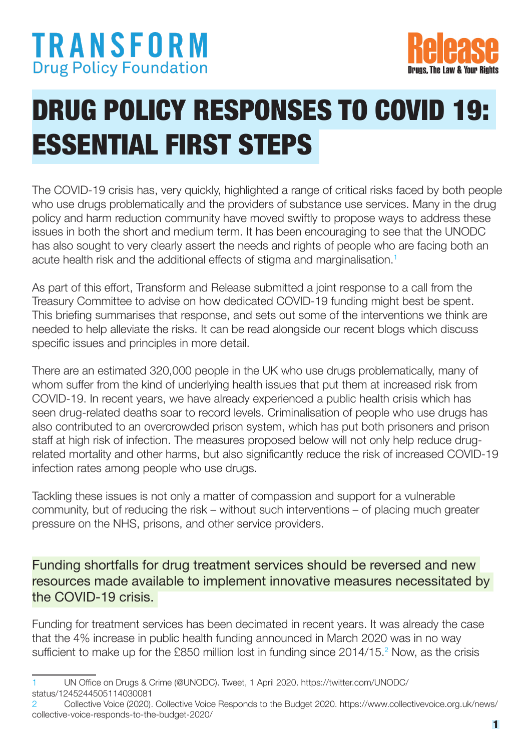## **TRANSFORM Drug Policy Foundation**



# DRUG POLICY RESPONSES TO COVID 19: ESSENTIAL FIRST STEPS

The COVID-19 crisis has, very quickly, highlighted a range of critical risks faced by both people who use drugs problematically and the providers of substance use services. Many in the drug policy and harm reduction community have moved swiftly to propose ways to address these issues in both the short and medium term. It has been encouraging to see that the UNODC has also sought to very clearly assert the needs and rights of people who are facing both an acute health risk and the additional effects of stigma and marginalisation.<sup>1</sup>

As part of this effort, Transform and Release submitted a joint response to a call from the Treasury Committee to advise on how dedicated COVID-19 funding might best be spent. This briefing summarises that response, and sets out some of the interventions we think are needed to help alleviate the risks. It can be read alongside our recent blogs which discuss specific issues and principles in more detail.

There are an estimated 320,000 people in the UK who use drugs problematically, many of whom suffer from the kind of underlying health issues that put them at increased risk from COVID-19. In recent years, we have already experienced a public health crisis which has seen drug-related deaths soar to record levels. Criminalisation of people who use drugs has also contributed to an overcrowded prison system, which has put both prisoners and prison staff at high risk of infection. The measures proposed below will not only help reduce drugrelated mortality and other harms, but also significantly reduce the risk of increased COVID-19 infection rates among people who use drugs.

Tackling these issues is not only a matter of compassion and support for a vulnerable community, but of reducing the risk – without such interventions – of placing much greater pressure on the NHS, prisons, and other service providers.

Funding shortfalls for drug treatment services should be reversed and new resources made available to implement innovative measures necessitated by the COVID-19 crisis.

Funding for treatment services has been decimated in recent years. It was already the case that the 4% increase in public health funding announced in March 2020 was in no way sufficient to make up for the £850 million lost in funding since 2014/15.<sup>2</sup> Now, as the crisis

<sup>1</sup> UN Office on Drugs & Crime (@UNODC). Tweet, 1 April 2020. https://twitter.com/UNODC/ status/1245244505114030081

<sup>2</sup> Collective Voice (2020). Collective Voice Responds to the Budget 2020. https://www.collectivevoice.org.uk/news/ collective-voice-responds-to-the-budget-2020/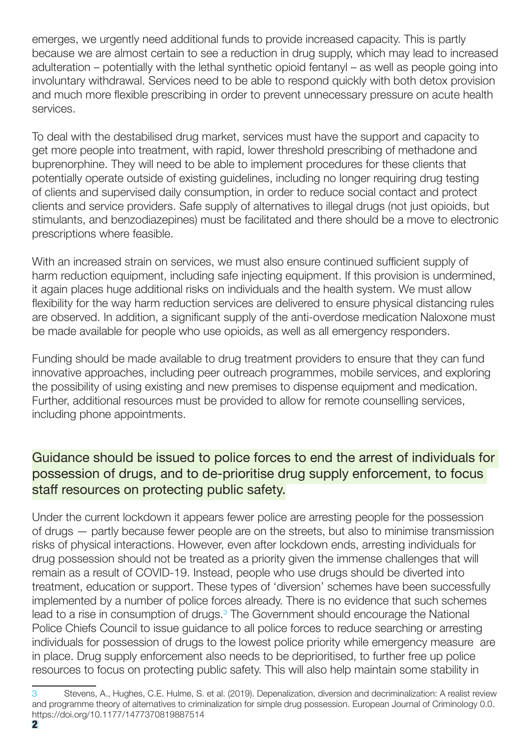emerges, we urgently need additional funds to provide increased capacity. This is partly because we are almost certain to see a reduction in drug supply, which may lead to increased adulteration – potentially with the lethal synthetic opioid fentanyl – as well as people going into involuntary withdrawal. Services need to be able to respond quickly with both detox provision and much more flexible prescribing in order to prevent unnecessary pressure on acute health services.

To deal with the destabilised drug market, services must have the support and capacity to get more people into treatment, with rapid, lower threshold prescribing of methadone and buprenorphine. They will need to be able to implement procedures for these clients that potentially operate outside of existing guidelines, including no longer requiring drug testing of clients and supervised daily consumption, in order to reduce social contact and protect clients and service providers. Safe supply of alternatives to illegal drugs (not just opioids, but stimulants, and benzodiazepines) must be facilitated and there should be a move to electronic prescriptions where feasible.

With an increased strain on services, we must also ensure continued sufficient supply of harm reduction equipment, including safe injecting equipment. If this provision is undermined, it again places huge additional risks on individuals and the health system. We must allow flexibility for the way harm reduction services are delivered to ensure physical distancing rules are observed. In addition, a significant supply of the anti-overdose medication Naloxone must be made available for people who use opioids, as well as all emergency responders.

Funding should be made available to drug treatment providers to ensure that they can fund innovative approaches, including peer outreach programmes, mobile services, and exploring the possibility of using existing and new premises to dispense equipment and medication. Further, additional resources must be provided to allow for remote counselling services, including phone appointments.

### Guidance should be issued to police forces to end the arrest of individuals for possession of drugs, and to de-prioritise drug supply enforcement, to focus staff resources on protecting public safety.

Under the current lockdown it appears fewer police are arresting people for the possession of drugs — partly because fewer people are on the streets, but also to minimise transmission risks of physical interactions. However, even after lockdown ends, arresting individuals for drug possession should not be treated as a priority given the immense challenges that will remain as a result of COVID-19. Instead, people who use drugs should be diverted into treatment, education or support. These types of 'diversion' schemes have been successfully implemented by a number of police forces already. There is no evidence that such schemes lead to a rise in consumption of drugs.<sup>3</sup> The Government should encourage the National Police Chiefs Council to issue guidance to all police forces to reduce searching or arresting individuals for possession of drugs to the lowest police priority while emergency measure are in place. Drug supply enforcement also needs to be deprioritised, to further free up police resources to focus on protecting public safety. This will also help maintain some stability in

<sup>3</sup> Stevens, A., Hughes, C.E. Hulme, S. et al. (2019). Depenalization, diversion and decriminalization: A realist review and programme theory of alternatives to criminalization for simple drug possession. European Journal of Criminology 0.0. https://doi.org/10.1177/1477370819887514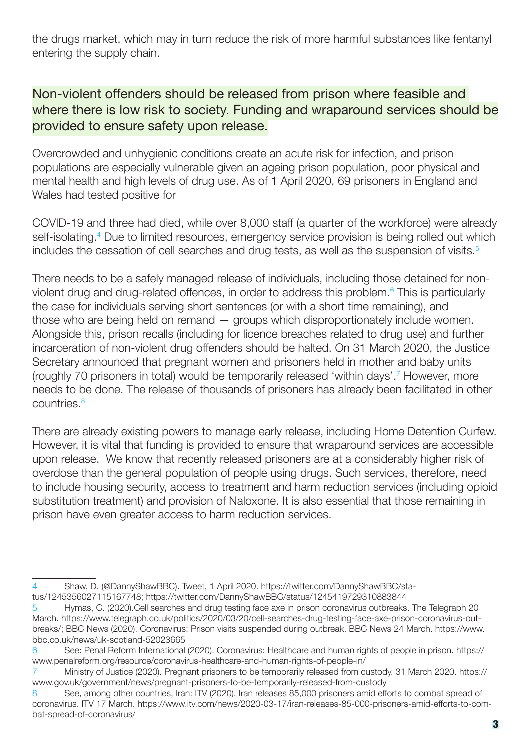the drugs market, which may in turn reduce the risk of more harmful substances like fentanyl entering the supply chain.

#### Non-violent offenders should be released from prison where feasible and where there is low risk to society. Funding and wraparound services should be provided to ensure safety upon release.

Overcrowded and unhygienic conditions create an acute risk for infection, and prison populations are especially vulnerable given an ageing prison population, poor physical and mental health and high levels of drug use. As of 1 April 2020, 69 prisoners in England and Wales had tested positive for

COVID-19 and three had died, while over 8,000 staff (a quarter of the workforce) were already self-isolating.<sup>4</sup> Due to limited resources, emergency service provision is being rolled out which includes the cessation of cell searches and drug tests, as well as the suspension of visits.<sup>5</sup>

There needs to be a safely managed release of individuals, including those detained for nonviolent drug and drug-related offences, in order to address this problem.<sup>6</sup> This is particularly the case for individuals serving short sentences (or with a short time remaining), and those who are being held on remand — groups which disproportionately include women. Alongside this, prison recalls (including for licence breaches related to drug use) and further incarceration of non-violent drug offenders should be halted. On 31 March 2020, the Justice Secretary announced that pregnant women and prisoners held in mother and baby units (roughly 70 prisoners in total) would be temporarily released 'within days'.7 However, more needs to be done. The release of thousands of prisoners has already been facilitated in other countries.<sup>8</sup>

There are already existing powers to manage early release, including Home Detention Curfew. However, it is vital that funding is provided to ensure that wraparound services are accessible upon release. We know that recently released prisoners are at a considerably higher risk of overdose than the general population of people using drugs. Such services, therefore, need to include housing security, access to treatment and harm reduction services (including opioid substitution treatment) and provision of Naloxone. It is also essential that those remaining in prison have even greater access to harm reduction services.

<sup>4</sup> Shaw, D. (@DannyShawBBC). Tweet, 1 April 2020. https://twitter.com/DannyShawBBC/status/1245356027115167748; https://twitter.com/DannyShawBBC/status/1245419729310883844

<sup>5</sup> Hymas, C. (2020).Cell searches and drug testing face axe in prison coronavirus outbreaks. The Telegraph 20 March. https://www.telegraph.co.uk/politics/2020/03/20/cell-searches-drug-testing-face-axe-prison-coronavirus-outbreaks/; BBC News (2020). Coronavirus: Prison visits suspended during outbreak. BBC News 24 March. https://www. bbc.co.uk/news/uk-scotland-52023665

<sup>6</sup> See: Penal Reform International (2020). Coronavirus: Healthcare and human rights of people in prison. https:// www.penalreform.org/resource/coronavirus-healthcare-and-human-rights-of-people-in/

<sup>7</sup> Ministry of Justice (2020). Pregnant prisoners to be temporarily released from custody. 31 March 2020. https:// www.gov.uk/government/news/pregnant-prisoners-to-be-temporarily-released-from-custody

<sup>8</sup> See, among other countries, Iran: ITV (2020). Iran releases 85,000 prisoners amid efforts to combat spread of coronavirus. ITV 17 March. https://www.itv.com/news/2020-03-17/iran-releases-85-000-prisoners-amid-efforts-to-combat-spread-of-coronavirus/